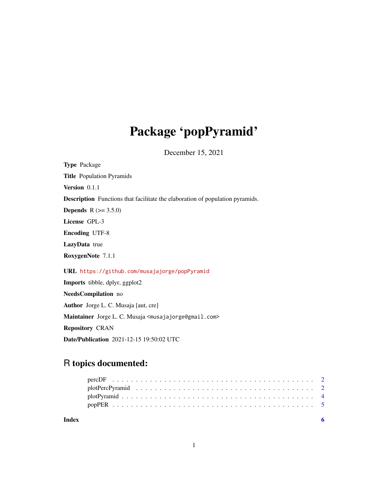# Package 'popPyramid'

December 15, 2021

| <b>Type Package</b>                                                                  |
|--------------------------------------------------------------------------------------|
| <b>Title Population Pyramids</b>                                                     |
| Version 0.1.1                                                                        |
| <b>Description</b> Functions that facilitate the elaboration of population pyramids. |
| <b>Depends</b> $R (= 3.5.0)$                                                         |
| License GPL-3                                                                        |
| <b>Encoding UTF-8</b>                                                                |
| LazyData true                                                                        |
| RoxygenNote 7.1.1                                                                    |
| URL https://github.com/musajajorge/popPyramid                                        |
| <b>Imports</b> tibble, dplyr, ggplot2                                                |
| <b>NeedsCompilation</b> no                                                           |
| Author Jorge L. C. Musaja [aut, cre]                                                 |
| Maintainer Jorge L. C. Musaja <musajajorge@gmail.com></musajajorge@gmail.com>        |
| <b>Repository CRAN</b>                                                               |
| Date/Publication 2021-12-15 19:50:02 UTC                                             |

# R topics documented: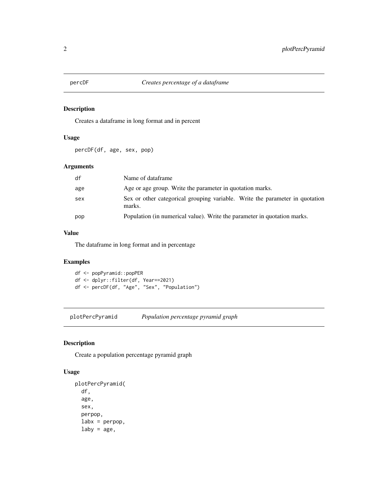<span id="page-1-0"></span>

#### Description

Creates a dataframe in long format and in percent

#### Usage

percDF(df, age, sex, pop)

#### Arguments

| df  | Name of dataframe                                                                      |
|-----|----------------------------------------------------------------------------------------|
| age | Age or age group. Write the parameter in quotation marks.                              |
| sex | Sex or other categorical grouping variable. Write the parameter in quotation<br>marks. |
| pop | Population (in numerical value). Write the parameter in quotation marks.               |

#### Value

The dataframe in long format and in percentage

### Examples

df <- popPyramid::popPER df <- dplyr::filter(df, Year==2021) df <- percDF(df, "Age", "Sex", "Population")

plotPercPyramid *Population percentage pyramid graph*

#### Description

Create a population percentage pyramid graph

#### Usage

```
plotPercPyramid(
  df,
  age,
  sex,
  perpop,
  labx = perpop,
  laby = age,
```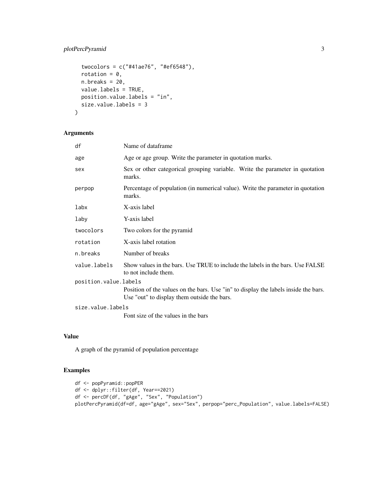### plotPercPyramid 3

```
twocolors = c("#41ae76", "#ef6548"),
 rotation = 0,
 n.breaks = 20,
 value.labels = TRUE,
 position.value.labels = "in",
 size.value.labels = 3
\mathcal{E}
```
### Arguments

| df                    | Name of dataframe                                                                                                                  |
|-----------------------|------------------------------------------------------------------------------------------------------------------------------------|
| age                   | Age or age group. Write the parameter in quotation marks.                                                                          |
| sex                   | Sex or other categorical grouping variable. Write the parameter in quotation<br>marks.                                             |
| perpop                | Percentage of population (in numerical value). Write the parameter in quotation<br>marks.                                          |
| labx                  | X-axis label                                                                                                                       |
| laby                  | Y-axis label                                                                                                                       |
| twocolors             | Two colors for the pyramid                                                                                                         |
| rotation              | X-axis label rotation                                                                                                              |
| n.breaks              | Number of breaks                                                                                                                   |
| value.labels          | Show values in the bars. Use TRUE to include the labels in the bars. Use FALSE<br>to not include them.                             |
| position.value.labels |                                                                                                                                    |
|                       | Position of the values on the bars. Use "in" to display the labels inside the bars.<br>Use "out" to display them outside the bars. |
| size.value.labels     |                                                                                                                                    |
|                       | Font size of the values in the bars                                                                                                |

#### Value

A graph of the pyramid of population percentage

#### Examples

```
df <- popPyramid::popPER
df <- dplyr::filter(df, Year==2021)
df <- percDF(df, "gAge", "Sex", "Population")
plotPercPyramid(df=df, age="gAge", sex="Sex", perpop="perc_Population", value.labels=FALSE)
```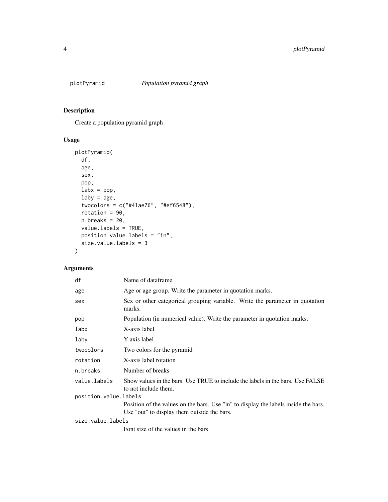<span id="page-3-0"></span>

#### Description

Create a population pyramid graph

### Usage

```
plotPyramid(
  df,
  age,
  sex,
  pop,
  \text{labx} = \text{pop},
  laby = age,
  twocolors = c("#41ae76", "#ef6548"),
  rotation = 90,
  n.breaks = 20,
  value.labels = TRUE,
  position.value.labels = "in",
  size.value.labels = 3
)
```
#### Arguments

| df                    | Name of dataframe                                                                                                                  |
|-----------------------|------------------------------------------------------------------------------------------------------------------------------------|
| age                   | Age or age group. Write the parameter in quotation marks.                                                                          |
| sex                   | Sex or other categorical grouping variable. Write the parameter in quotation<br>marks.                                             |
| pop                   | Population (in numerical value). Write the parameter in quotation marks.                                                           |
| labx                  | X-axis label                                                                                                                       |
| laby                  | Y-axis label                                                                                                                       |
| twocolors             | Two colors for the pyramid                                                                                                         |
| rotation              | X-axis label rotation                                                                                                              |
| n.breaks              | Number of breaks                                                                                                                   |
| value.labels          | Show values in the bars. Use TRUE to include the labels in the bars. Use FALSE<br>to not include them.                             |
| position.value.labels |                                                                                                                                    |
|                       | Position of the values on the bars. Use "in" to display the labels inside the bars.<br>Use "out" to display them outside the bars. |
| size.value.labels     |                                                                                                                                    |
|                       | Font size of the values in the bars                                                                                                |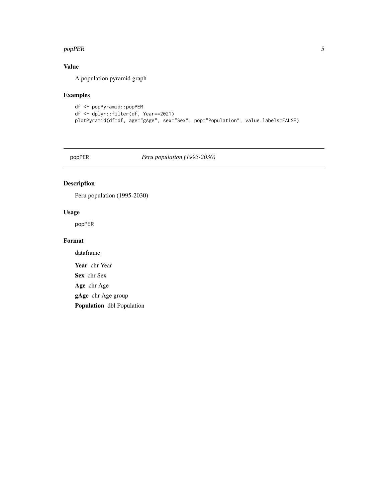#### <span id="page-4-0"></span>popPER 5

## Value

A population pyramid graph

#### Examples

```
df <- popPyramid::popPER
df <- dplyr::filter(df, Year==2021)
plotPyramid(df=df, age="gAge", sex="Sex", pop="Population", value.labels=FALSE)
```
popPER *Peru population (1995-2030)*

#### Description

Peru population (1995-2030)

#### Usage

popPER

#### Format

dataframe

Year chr Year

Sex chr Sex

Age chr Age

gAge chr Age group

Population dbl Population